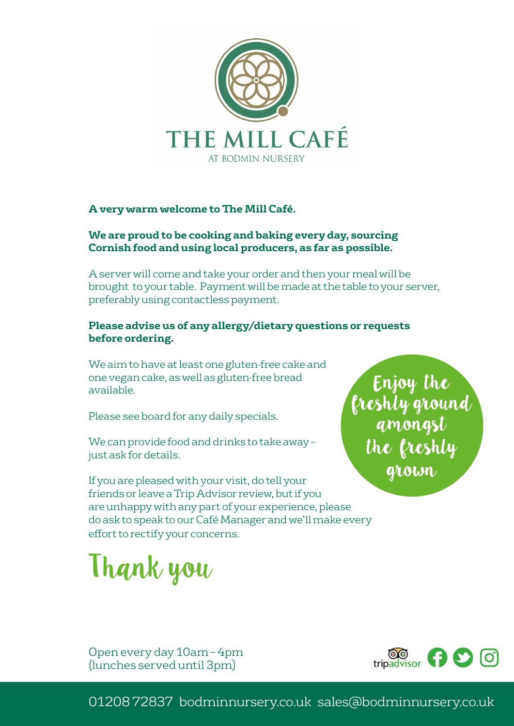

#### **A very warm welcome to The Mill Café.**

#### **We are proud to be cooking and baking every day, sourcing Cornish food and using local producers, as far as possible.**

A server will come and take your order and then your meal will be brought to your table. Payment will be made at the table to your server, preferably using contactless payment.

#### **Please advise us of any allergy/dietary questions or requests before ordering.**

We aim to have at least one gluten-free cake and one vegan cake, as well as gluten-free bread available.

Please see board for any daily specials.

We can provide food and drinks to take away – just ask for details.

If you are pleased with your visit, do tell your friends or leave a Trip Advisor review, but if you are unhappy with any part of your experience, please do ask to speak to our Café Manager and we'll make every effort to rectify your concerns.

Thank you

Enjoy the<br>freshly ground<br>amongst the freshly grown

Open every day 10am – 4pm (lunches served until 3pm)

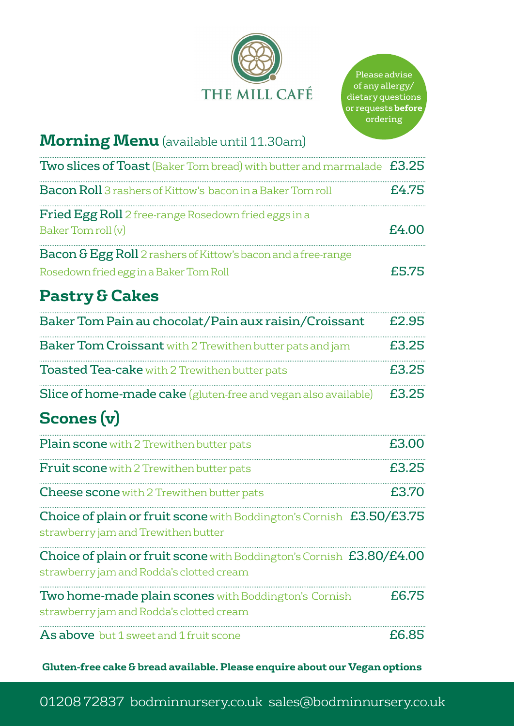

## **Morning Menu**(available until 11.30am)

| <b>Two slices of Toast</b> (Baker Tom bread) with butter and marmalade £3.25                                       |       |
|--------------------------------------------------------------------------------------------------------------------|-------|
| <b>Bacon Roll</b> 3 rashers of Kittow's bacon in a Baker Tom roll                                                  | £4.75 |
| <b>Fried Egg Roll</b> 2 free-range Rosedown fried eggs in a<br>Baker Tom roll (v)                                  | £4.00 |
| <b>Bacon &amp; Egg Roll</b> 2 rashers of Kittow's bacon and a free-range<br>Rosedown fried egg in a Baker Tom Roll | £5.75 |

# **Pastry & Cakes**

| Baker Tom Pain au chocolat/Pain aux raisin/Croissant                               | £2.95 |
|------------------------------------------------------------------------------------|-------|
| <b>Baker Tom Croissant</b> with 2 Trewithen butter pats and jam                    | £3.25 |
| <b>Toasted Tea-cake</b> with 2 Trewithen butter pats                               | £3.25 |
| <b>Slice of home-made cake</b> (gluten-free and vegan also available) <b>£3.25</b> |       |

# **Scones (v)**

| <b>Plain scone</b> with 2 Trewithen butter pats                                                                  | £3.00  |
|------------------------------------------------------------------------------------------------------------------|--------|
| <b>Fruit scone</b> with 2 Trewithen butter pats                                                                  | £3.25  |
| <b>Cheese scone</b> with 2 Trewithen butter pats                                                                 | £3.70  |
| Choice of plain or fruit scone with Boddington's Cornish £3.50/£3.75<br>strawberry jam and Trewithen butter      |        |
| Choice of plain or fruit scone with Boddington's Cornish £3.80/£4.00<br>strawberry jam and Rodda's clotted cream |        |
| Two home-made plain scones with Boddington's Cornish<br>strawberry jam and Rodda's clotted cream                 | £6.75  |
| <b>As above</b> but 1 sweet and 1 fruit scone                                                                    | f.6.85 |

**Gluten-free cake & bread available. Please enquire about our Vegan options**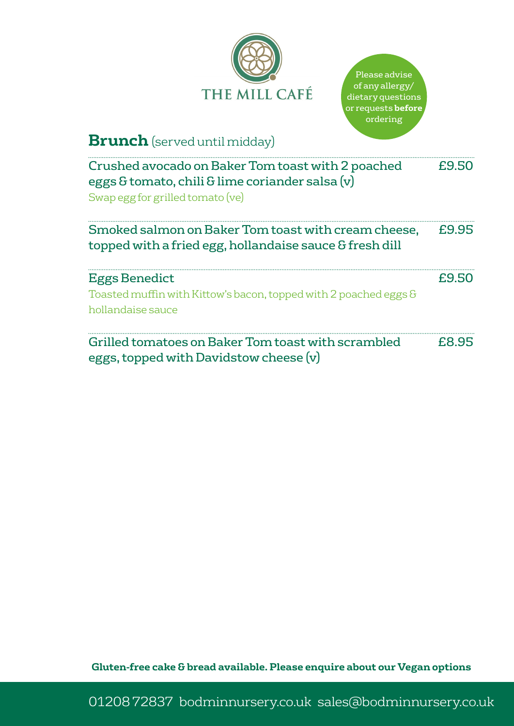



## **Brunch** (served until midday)

| Crushed avocado on Baker Tom toast with 2 poached<br>eggs & tomato, chili & lime coriander salsa $(v)$<br>Swap egg for grilled tomato (ve) | £9.50 |
|--------------------------------------------------------------------------------------------------------------------------------------------|-------|
| Smoked salmon on Baker Tom toast with cream cheese,<br>topped with a fried egg, hollandaise sauce & fresh dill                             | £9.95 |
| <b>Eggs Benedict</b><br>Toasted muffin with Kittow's bacon, topped with 2 poached eggs &<br>hollandaise sauce                              | £9.50 |
| Grilled tomatoes on Baker Tom toast with scrambled<br>eggs, topped with Davidstow cheese (v)                                               | £8.95 |

**Gluten-free cake & bread available. Please enquire about our Vegan options**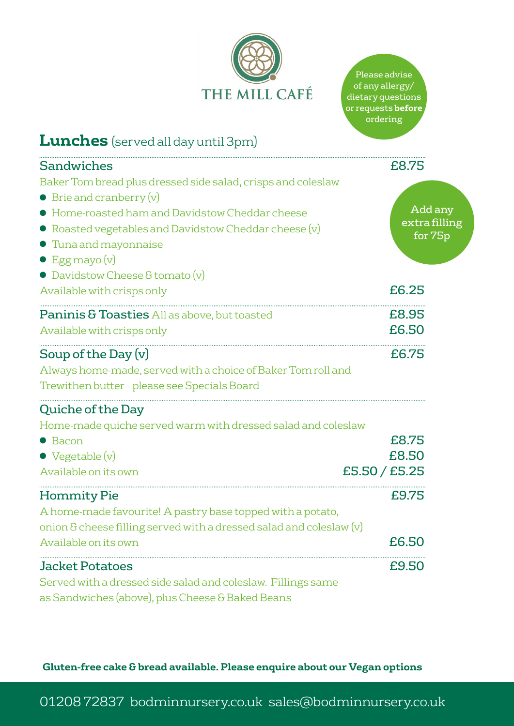

Please advise of any allergy/ dietary questions or requests **before** ordering

# **Lunches** (served all day until 3pm)

| <b>Sandwiches</b>                                                                                                                                                                                                                                                                                             | £8.75                               |
|---------------------------------------------------------------------------------------------------------------------------------------------------------------------------------------------------------------------------------------------------------------------------------------------------------------|-------------------------------------|
| Baker Tom bread plus dressed side salad, crisps and coleslaw<br>$\bullet$ Brie and cranberry $(v)$<br>• Home-roasted ham and Davidstow Cheddar cheese<br>• Roasted vegetables and Davidstow Cheddar cheese (v)<br><b>• Tuna and mayonnaise</b><br>$\bullet$ Egg mayo $(v)$<br>• Davidstow Cheese & tomato (v) | Add any<br>extra filling<br>for 75p |
| Available with crisps only                                                                                                                                                                                                                                                                                    | £6.25                               |
| Paninis & Toasties All as above, but toasted<br>Available with crisps only                                                                                                                                                                                                                                    | £8.95<br>£6.50                      |
| Soup of the Day (v)<br>Always home-made, served with a choice of Baker Tom roll and<br>Trewithen butter - please see Specials Board                                                                                                                                                                           | £6.75                               |
| <b>Quiche of the Day</b><br>Home-made quiche served warm with dressed salad and coleslaw<br>$\bullet$ Bacon<br>$\bullet$ Vegetable $(v)$<br>Available on its own                                                                                                                                              | £8.75<br>£8.50<br>£5.50 / £5.25     |
| <b>Hommity Pie</b><br>A home-made favourite! A pastry base topped with a potato,<br>onion & cheese filling served with a dressed salad and coleslaw (v)<br>Available on its own                                                                                                                               | £9.75<br>£6.50                      |
| <b>Jacket Potatoes</b><br>Served with a dressed side salad and coleslaw. Fillings same<br>as Sandwiches (above), plus Cheese & Baked Beans                                                                                                                                                                    | £9.50                               |

**Gluten-free cake & bread available. Please enquire about our Vegan options**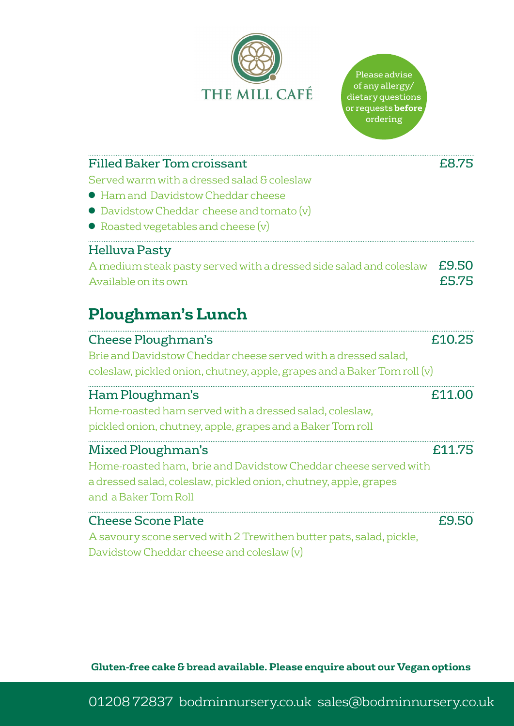

| <b>Filled Baker Tom croissant</b>                                        | £8.75  |
|--------------------------------------------------------------------------|--------|
| Served warm with a dressed salad & coleslaw                              |        |
| • Ham and Davidstow Cheddar cheese                                       |        |
| $\bullet$ Davidstow Cheddar cheese and tomato $(v)$                      |        |
| $\bullet$ Roasted vegetables and cheese $(v)$                            |        |
| Helluva Pasty                                                            |        |
| A medium steak pasty served with a dressed side salad and coleslaw       | £9.50  |
| Available on its own                                                     | £5.75  |
|                                                                          |        |
| <b>Ploughman's Lunch</b>                                                 |        |
| <b>Cheese Ploughman's</b>                                                | £10.25 |
| Brie and Davidstow Cheddar cheese served with a dressed salad.           |        |
| coleslaw, pickled onion, chutney, apple, grapes and a Baker Tom roll (v) |        |

| Ham Ploughman's                                                  | £11.00 |
|------------------------------------------------------------------|--------|
| Home-roasted ham served with a dressed salad, coleslaw,          |        |
| pickled onion, chutney, apple, grapes and a Baker Tom roll       |        |
| <b>Mixed Ploughman's</b>                                         | £11.75 |
| Home-roasted ham, brie and Davidstow Cheddar cheese served with  |        |
| a dressed salad, coleslaw, pickled onion, chutney, apple, grapes |        |
| and a Baker Tom Roll                                             |        |
| <b>Cheese Scone Plate</b>                                        | £9.50  |
|                                                                  |        |

A savoury scone served with 2 Trewithen butter pats, salad, pickle, Davidstow Cheddar cheese and coleslaw (v)

**Gluten-free cake & bread available. Please enquire about our Vegan options**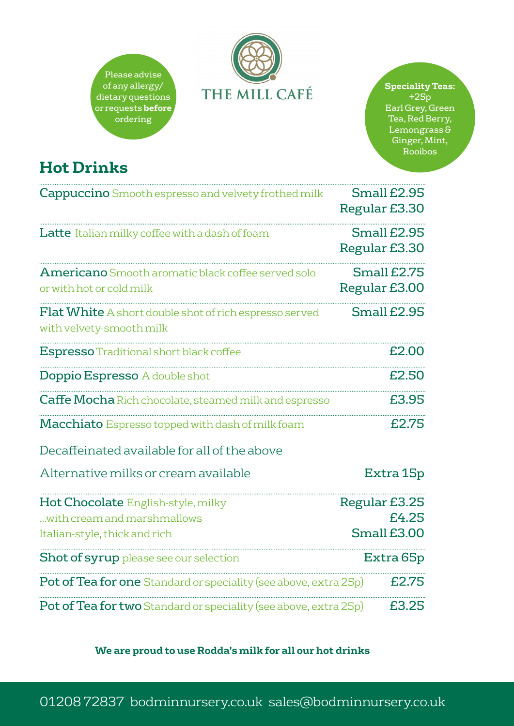



#### **Speciality Teas:** +25p

Earl Grey, Green Tea, Red Berry, Lemongrass & Ginger, Mint, Rooibos

# **Hot Drinks**

| <b>Cappuccino</b> Smooth espresso and velvety frothed milk                            | Small £2.95<br>Regular £3.30 |
|---------------------------------------------------------------------------------------|------------------------------|
| Latte Italian milky coffee with a dash of foam                                        | Small £2.95<br>Regular £3.30 |
| <b>Americano</b> Smooth aromatic black coffee served solo<br>or with hot or cold milk | Small £2.75<br>Regular £3.00 |
| Flat White A short double shot of rich espresso served<br>with velvety-smooth milk    | Small £2.95                  |
| <b>Espresso</b> Traditional short black coffee                                        | £2.00                        |
| <b>Doppio Espresso</b> A double shot                                                  | £2.50                        |
| <b>Caffe Mocha</b> Rich chocolate, steamed milk and espresso                          | £3.95                        |
| Macchiato Espresso topped with dash of milk foam                                      | £2.75                        |
| Decaffeinated available for all of the above                                          |                              |
| Alternative milks or cream available                                                  | Extra 15p                    |
| Hot Chocolate English-style, milky<br>with cream and marshmallows                     | Regular £3.25<br>£4.25       |
| Italian-style, thick and rich                                                         | Small £3.00                  |
| <b>Shot of syrup</b> please see our selection                                         | Extra 65p                    |
| Pot of Tea for one Standard or speciality (see above, extra 25p)                      | £2.75                        |
| <b>Pot of Tea for two</b> Standard or speciality (see above, extra 25p)               | £3.25                        |

**We are proud to use Rodda's milk for all our hot drinks**